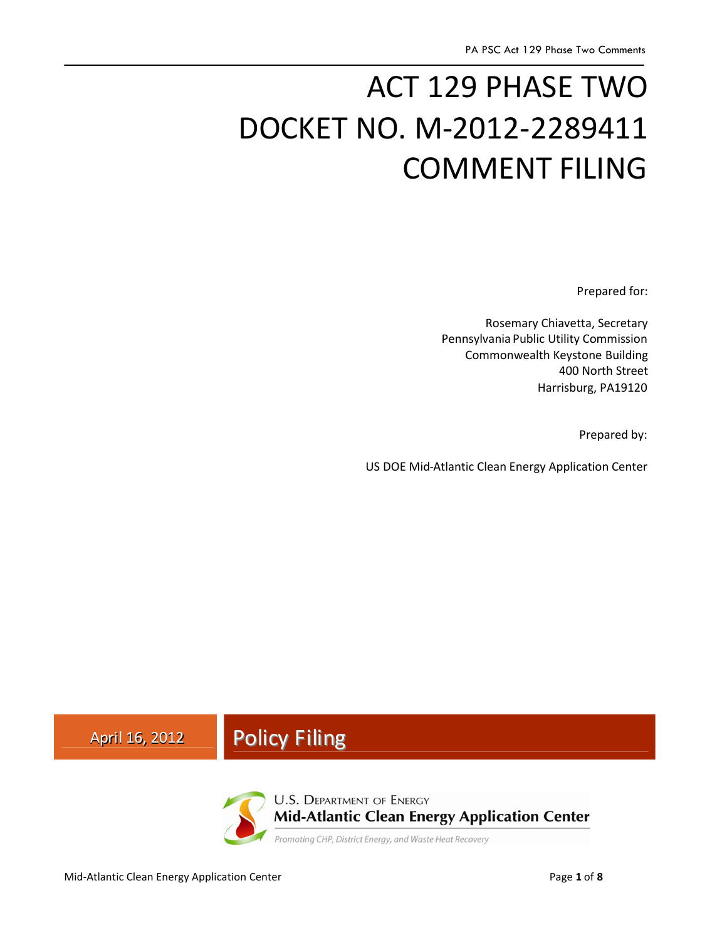# ACT 129 PHASE TWO DOCKET NO. M-2012-2289411 COMMENT FILING

Prepared for:

Rosemary Chiavetta, Secretary Pennsylvania Public Utility Commission Commonwealth Keystone Building 400 North Street Harrisburg, PA19120

Prepared by:

US DOE Mid-Atlantic Clean Energy Application Center

# April 16, 2012 **Policy Filing**



**U.S. DEPARTMENT OF ENERGY Mid-Atlantic Clean Energy Application Center** 

Promoting CHP, District Energy, and Waste Heat Recovery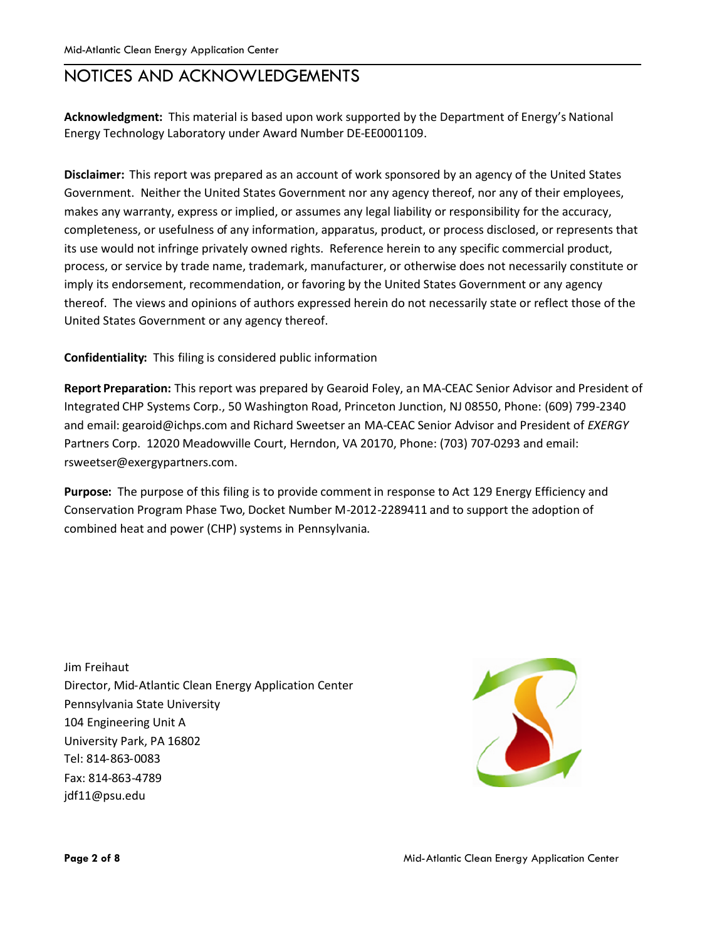## NOTICES AND ACKNOWLEDGEMENTS

**Acknowledgment:** This material is based upon work supported by the Department of Energy's National Energy Technology Laboratory under Award Number DE-EE0001109.

**Disclaimer:** This report was prepared as an account of work sponsored by an agency of the United States Government. Neither the United States Government nor any agency thereof, nor any of their employees, makes any warranty, express or implied, or assumes any legal liability or responsibility for the accuracy, completeness, or usefulness of any information, apparatus, product, or process disclosed, or represents that its use would not infringe privately owned rights. Reference herein to any specific commercial product, process, or service by trade name, trademark, manufacturer, or otherwise does not necessarily constitute or imply its endorsement, recommendation, or favoring by the United States Government or any agency thereof. The views and opinions of authors expressed herein do not necessarily state or reflect those of the United States Government or any agency thereof.

#### **Confidentiality:** This filing is considered public information

**Report Preparation:** This report was prepared by Gearoid Foley, an MA-CEAC Senior Advisor and President of Integrated CHP Systems Corp., 50 Washington Road, Princeton Junction, NJ 08550, Phone: (609) 799-2340 and email: gearoid@ichps.com and Richard Sweetser an MA-CEAC Senior Advisor and President of *EXERGY* Partners Corp. 12020 Meadowville Court, Herndon, VA 20170, Phone: (703) 707-0293 and email: rsweetser@exergypartners.com.

**Purpose:** The purpose of this filing is to provide comment in response to Act 129 Energy Efficiency and Conservation Program Phase Two, Docket Number M-2012-2289411 and to support the adoption of combined heat and power (CHP) systems in Pennsylvania.

Jim Freihaut Director, Mid-Atlantic Clean Energy Application Center Pennsylvania State University 104 Engineering Unit A University Park, PA 16802 Tel: 814-863-0083 Fax: 814-863-4789 jdf11@psu.edu

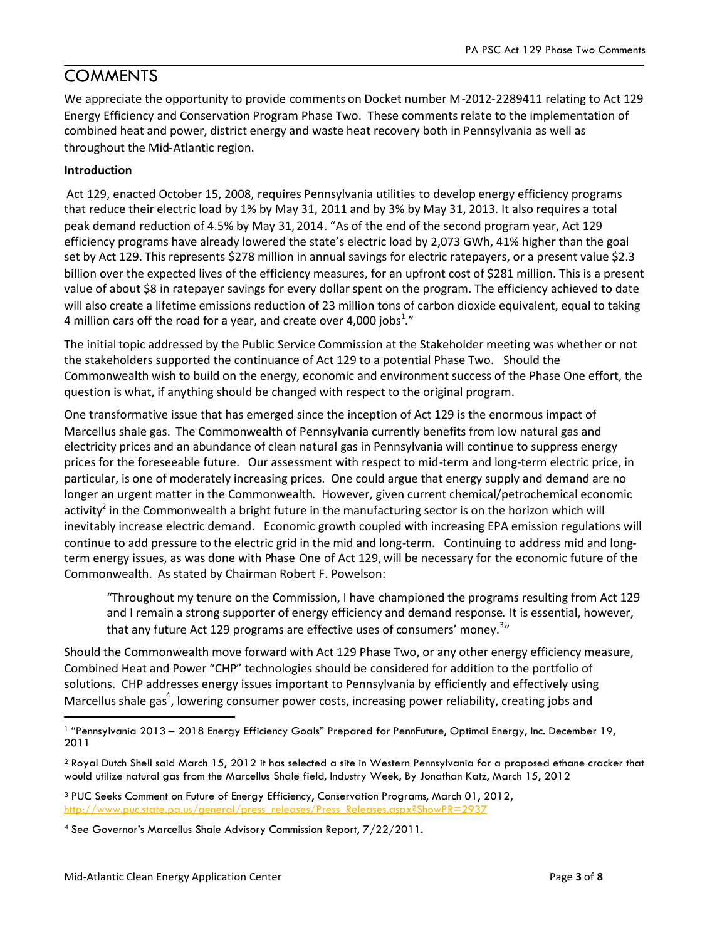## **COMMENTS**

We appreciate the opportunity to provide comments on Docket number M-2012-2289411 relating to Act 129 Energy Efficiency and Conservation Program Phase Two. These comments relate to the implementation of combined heat and power, district energy and waste heat recovery both in Pennsylvania as well as throughout the Mid-Atlantic region.

#### **Introduction**

Act 129, enacted October 15, 2008, requires Pennsylvania utilities to develop energy efficiency programs that reduce their electric load by 1% by May 31, 2011 and by 3% by May 31, 2013. It also requires a total peak demand reduction of 4.5% by May 31, 2014. "As of the end of the second program year, Act 129 efficiency programs have already lowered the state's electric load by 2,073 GWh, 41% higher than the goal set by Act 129. This represents \$278 million in annual savings for electric ratepayers, or a present value \$2.3 billion over the expected lives of the efficiency measures, for an upfront cost of \$281 million. This is a present value of about \$8 in ratepayer savings for every dollar spent on the program. The efficiency achieved to date will also create a lifetime emissions reduction of 23 million tons of carbon dioxide equivalent, equal to taking 4 million cars off the road for a year, and create over 4,000 jobs $^{1,r}$ 

The initial topic addressed by the Public Service Commission at the Stakeholder meeting was whether or not the stakeholders supported the continuance of Act 129 to a potential Phase Two. Should the Commonwealth wish to build on the energy, economic and environment success of the Phase One effort, the question is what, if anything should be changed with respect to the original program.

One transformative issue that has emerged since the inception of Act 129 is the enormous impact of Marcellus shale gas. The Commonwealth of Pennsylvania currently benefits from low natural gas and electricity prices and an abundance of clean natural gas in Pennsylvania will continue to suppress energy prices for the foreseeable future. Our assessment with respect to mid-term and long-term electric price, in particular, is one of moderately increasing prices. One could argue that energy supply and demand are no longer an urgent matter in the Commonwealth. However, given current chemical/petrochemical economic activity<sup>2</sup> in the Commonwealth a bright future in the manufacturing sector is on the horizon which will inevitably increase electric demand. Economic growth coupled with increasing EPA emission regulations will continue to add pressure to the electric grid in the mid and long-term. Continuing to address mid and longterm energy issues, as was done with Phase One of Act 129, will be necessary for the economic future of the Commonwealth. As stated by Chairman Robert F. Powelson:

"Throughout my tenure on the Commission, I have championed the programs resulting from Act 129 and I remain a strong supporter of energy efficiency and demand response. It is essential, however, that any future Act 129 programs are effective uses of consumers' money.<sup>3</sup>"

Should the Commonwealth move forward with Act 129 Phase Two, or any other energy efficiency measure, Combined Heat and Power "CHP" technologies should be considered for addition to the portfolio of solutions. CHP addresses energy issues important to Pennsylvania by efficiently and effectively using Marcellus shale gas<sup>4</sup>, lowering consumer power costs, increasing power reliability, creating jobs and

<sup>1</sup> "Pennsylvania 2013 – 2018 Energy Efficiency Goals" Prepared for PennFuture, Optimal Energy, Inc. December 19, 2011

<sup>2</sup> Royal Dutch Shell said March 15, 2012 it has selected a site in Western Pennsylvania for a proposed ethane cracker that would utilize natural gas from the Marcellus Shale field, Industry Week, By Jonathan Katz, March 15, 2012

<sup>3</sup> PUC Seeks Comment on Future of Energy Efficiency, Conservation Programs, March 01, 2012, http://www.puc.state.pa.us/general/press\_releases/Press\_Releases.aspx?ShowPR=2937

<sup>4</sup> See Governor's Marcellus Shale Advisory Commission Report, 7/22/2011.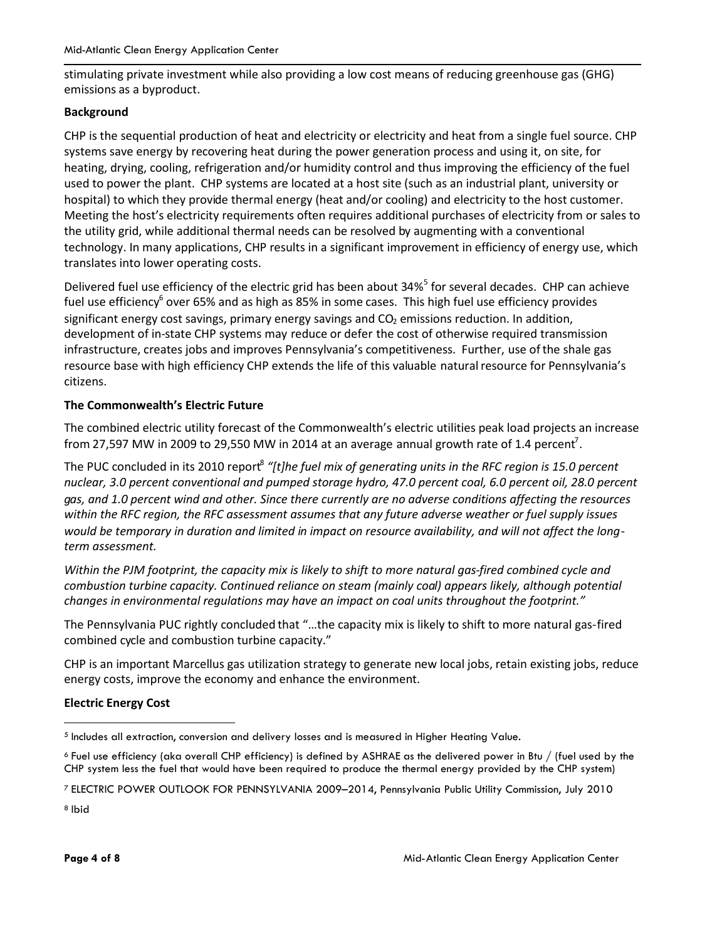stimulating private investment while also providing a low cost means of reducing greenhouse gas (GHG) emissions as a byproduct.

#### **Background**

CHP is the sequential production of heat and electricity or electricity and heat from a single fuel source. CHP systems save energy by recovering heat during the power generation process and using it, on site, for heating, drying, cooling, refrigeration and/or humidity control and thus improving the efficiency of the fuel used to power the plant. CHP systems are located at a host site (such as an industrial plant, university or hospital) to which they provide thermal energy (heat and/or cooling) and electricity to the host customer. Meeting the host's electricity requirements often requires additional purchases of electricity from or sales to the utility grid, while additional thermal needs can be resolved by augmenting with a conventional technology. In many applications, CHP results in a significant improvement in efficiency of energy use, which translates into lower operating costs.

Delivered fuel use efficiency of the electric grid has been about 34%<sup>5</sup> for several decades. CHP can achieve fuel use efficiency<sup>6</sup> over 65% and as high as 85% in some cases. This high fuel use efficiency provides significant energy cost savings, primary energy savings and  $CO<sub>2</sub>$  emissions reduction. In addition, development of in-state CHP systems may reduce or defer the cost of otherwise required transmission infrastructure, creates jobs and improves Pennsylvania's competitiveness. Further, use ofthe shale gas resource base with high efficiency CHP extends the life of this valuable natural resource for Pennsylvania's citizens.

#### **The Commonwealth's Electric Future**

The combined electric utility forecast of the Commonwealth's electric utilities peak load projects an increase from 27,597 MW in 2009 to 29,550 MW in 2014 at an average annual growth rate of 1.4 percent<sup>7</sup>.

The PUC concluded in its 2010 report<sup>8</sup> "[t]he fuel mix of generating units in the RFC region is 15.0 percent *nuclear, 3.0 percent conventional and pumped storage hydro, 47.0 percent coal, 6.0 percent oil, 28.0 percent gas, and 1.0 percent wind and other. Since there currently are no adverse conditions affecting the resources within the RFC region, the RFC assessment assumes that any future adverse weather or fuel supply issues would be temporary in duration and limited in impact on resource availability, and will not affect the longterm assessment.*

*Within the PJM footprint, the capacity mix is likely to shift to more natural gas-fired combined cycle and combustion turbine capacity. Continued reliance on steam (mainly coal) appears likely, although potential changes in environmental regulations may have an impact on coal units throughout the footprint."*

The Pennsylvania PUC rightly concluded that "…the capacity mix is likely to shift to more natural gas-fired combined cycle and combustion turbine capacity."

CHP is an important Marcellus gas utilization strategy to generate new local jobs, retain existing jobs, reduce energy costs, improve the economy and enhance the environment.

#### **Electric Energy Cost**

<sup>6</sup> Fuel use efficiency (aka overall CHP efficiency) is defined by ASHRAE as the delivered power in Btu / (fuel used by the CHP system less the fuel that would have been required to produce the thermal energy provided by the CHP system)

<sup>8</sup> Ibid

 $^5$  Includes all extraction, conversion and delivery losses and is measured in Higher Heating Value.

<sup>7</sup> ELECTRIC POWER OUTLOOK FOR PENNSYLVANIA 2009–2014, Pennsylvania Public Utility Commission, July 2010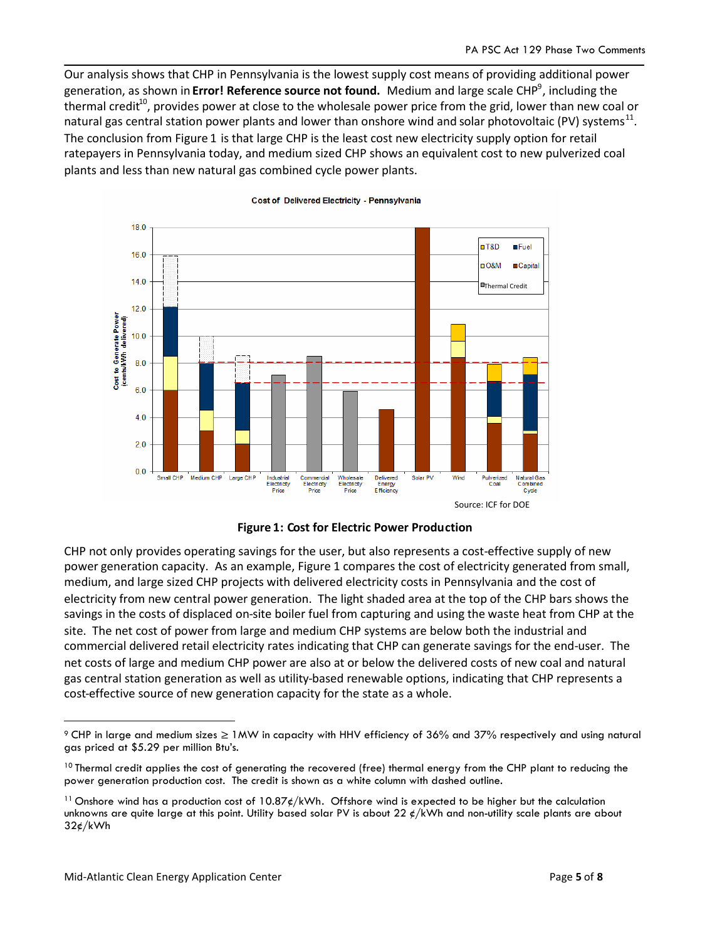Our analysis shows that CHP in Pennsylvania is the lowest supply cost means of providing additional power generation, as shown in **Error! Reference source not found.** Medium and large scale CHP<sup>9</sup>, including the thermal credit<sup>10</sup>, provides power at close to the wholesale power price from the grid, lower than new coal or natural gas central station power plants and lower than onshore wind and solar photovoltaic (PV) systems<sup>11</sup>. The conclusion from Figure 1 is that large CHP is the least cost new electricity supply option for retail ratepayers in Pennsylvania today, and medium sized CHP shows an equivalent cost to new pulverized coal plants and less than new natural gas combined cycle power plants.



#### Cost of Delivered Electricity - Pennsylvania



CHP not only provides operating savings for the user, but also represents a cost-effective supply of new power generation capacity. As an example, Figure 1 compares the cost of electricity generated from small, medium, and large sized CHP projects with delivered electricity costs in Pennsylvania and the cost of electricity from new central power generation. The light shaded area at the top of the CHP bars shows the savings in the costs of displaced on-site boiler fuel from capturing and using the waste heat from CHP at the site. The net cost of power from large and medium CHP systems are below both the industrial and commercial delivered retail electricity rates indicating that CHP can generate savings for the end-user. The net costs of large and medium CHP power are also at or below the delivered costs of new coal and natural gas central station generation as well as utility-based renewable options, indicating that CHP represents a cost-effective source of new generation capacity for the state as a whole.

<sup>9</sup> CHP in large and medium sizes ≥1MW in capacity with HHV efficiency of 36% and 37% respectively and using natural gas priced at \$5.29 per million Btu's.

<sup>&</sup>lt;sup>10</sup> Thermal credit applies the cost of generating the recovered (free) thermal energy from the CHP plant to reducing the power generation production cost. The credit is shown as a white column with dashed outline.

<sup>&</sup>lt;sup>11</sup> Onshore wind has a production cost of 10.87 $\rlap{\epsilon}/kWh$ . Offshore wind is expected to be higher but the calculation unknowns are quite large at this point. Utility based solar PV is about 22  $\ell$ /kWh and non-utility scale plants are about  $32¢/kWh$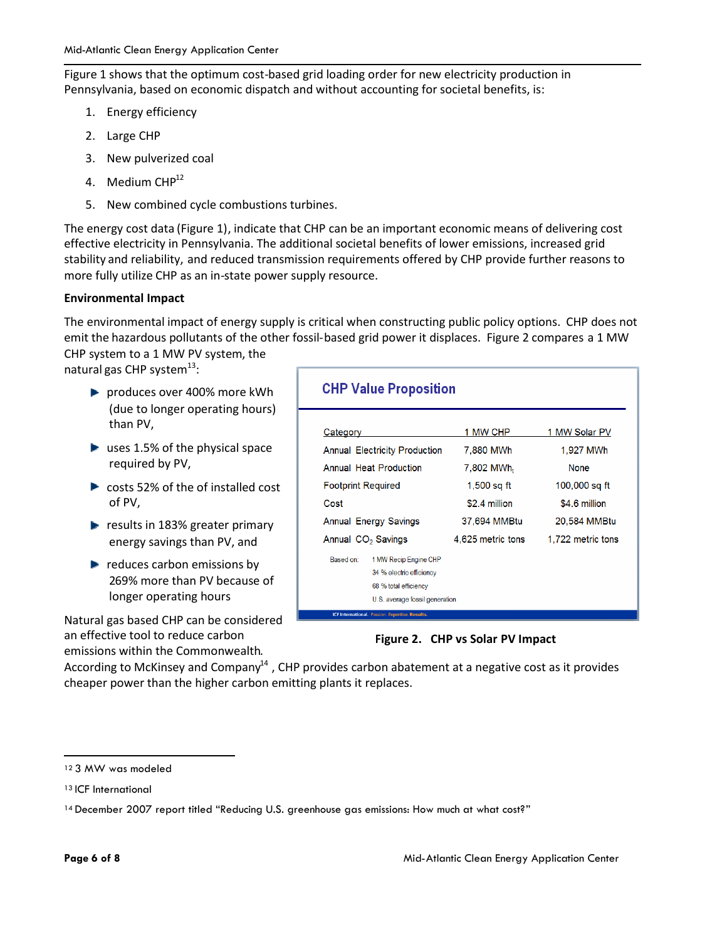Figure 1 shows that the optimum cost-based grid loading order for new electricity production in Pennsylvania, based on economic dispatch and without accounting for societal benefits, is:

- 1. Energy efficiency
- 2. Large CHP
- 3. New pulverized coal
- 4. Medium CHP<sup>12</sup>
- 5. New combined cycle combustions turbines.

The energy cost data (Figure 1), indicate that CHP can be an important economic means of delivering cost effective electricity in Pennsylvania. The additional societal benefits of lower emissions, increased grid stability and reliability, and reduced transmission requirements offered by CHP provide further reasons to more fully utilize CHP as an in-state power supply resource.

#### **Environmental Impact**

The environmental impact of energy supply is critical when constructing public policy options. CHP does not emit the hazardous pollutants of the other fossil-based grid power it displaces. Figure 2 compares a 1 MW

CHP system to a 1 MW PV system, the natural gas CHP system<sup>13</sup>:

- **P** produces over 400% more kWh (due to longer operating hours) than PV,
- $\blacktriangleright$  uses 1.5% of the physical space required by PV,
- costs 52% of the of installed cost of PV,
- results in 183% greater primary energy savings than PV, and
- $\blacktriangleright$  reduces carbon emissions by 269% more than PV because of longer operating hours

Natural gas based CHP can be considered an effective tool to reduce carbon emissions within the Commonwealth.

#### **CHP Value Proposition**

| Category                             |                                             | 1 MW CHP               | 1 MW Solar PV     |
|--------------------------------------|---------------------------------------------|------------------------|-------------------|
| <b>Annual Electricity Production</b> |                                             | 7,880 MWh              | 1.927 MWh         |
| <b>Annual Heat Production</b>        |                                             | 7,802 MWh <sub>t</sub> | <b>None</b>       |
| <b>Footprint Required</b>            |                                             | $1.500$ sa ft          | 100,000 sq ft     |
| Cost                                 |                                             | \$2.4 million          | \$4.6 million     |
| <b>Annual Energy Savings</b>         |                                             | 37.694 MMBtu           | 20,584 MMBtu      |
| Annual CO <sub>2</sub> Savings       |                                             | 4,625 metric tons      | 1,722 metric tons |
| Based on:                            | 1 MW Recip Engine CHP                       |                        |                   |
|                                      | 34 % electric efficiency                    |                        |                   |
|                                      | 68 % total efficiency                       |                        |                   |
| U.S. average fossil generation       |                                             |                        |                   |
|                                      | ICE International Dession Evroptica Decutto |                        |                   |

#### **Figure 2. CHP vs Solar PV Impact**

According to McKinsey and Company<sup>14</sup>, CHP provides carbon abatement at a negative cost as it provides cheaper power than the higher carbon emitting plants it replaces.

<sup>12</sup> 3 MW was modeled

<sup>13</sup> ICF International

<sup>14</sup> December 2007 report titled "Reducing U.S. greenhouse gas emissions: How much at what cost?"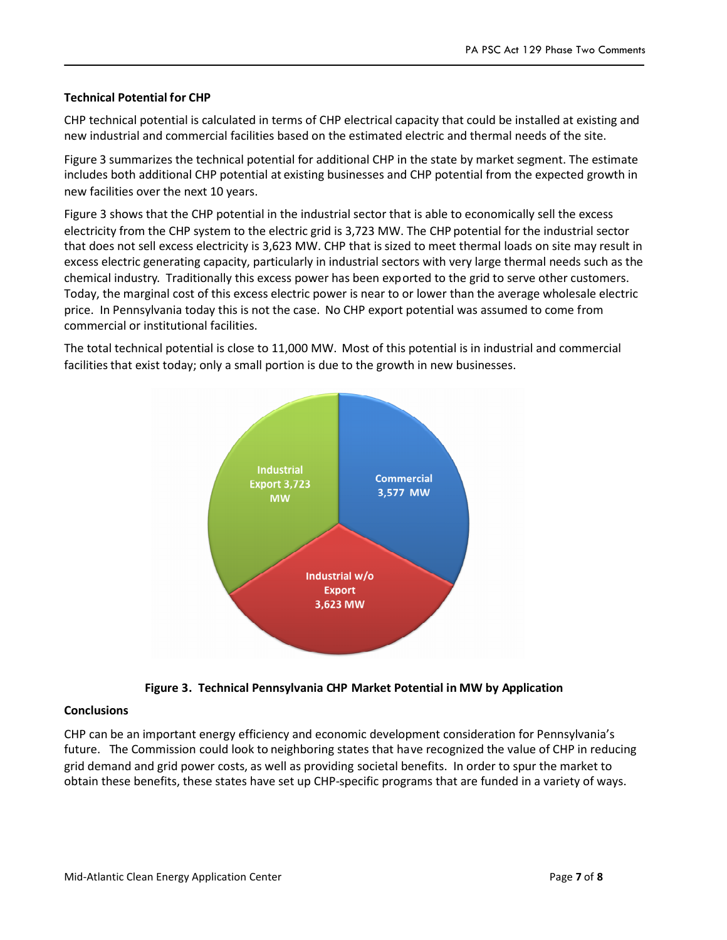#### **Technical Potential for CHP**

CHP technical potential is calculated in terms of CHP electrical capacity that could be installed at existing and new industrial and commercial facilities based on the estimated electric and thermal needs of the site.

Figure 3 summarizes the technical potential for additional CHP in the state by market segment. The estimate includes both additional CHP potential at existing businesses and CHP potential from the expected growth in new facilities over the next 10 years.

Figure 3 shows that the CHP potential in the industrial sector that is able to economically sell the excess electricity from the CHP system to the electric grid is 3,723 MW. The CHP potential for the industrial sector that does not sell excess electricity is 3,623 MW. CHP that is sized to meet thermal loads on site may result in excess electric generating capacity, particularly in industrial sectors with very large thermal needs such as the chemical industry. Traditionally this excess power has been exported to the grid to serve other customers. Today, the marginal cost of this excess electric power is near to or lower than the average wholesale electric price. In Pennsylvania today this is not the case. No CHP export potential was assumed to come from commercial or institutional facilities.

The total technical potential is close to 11,000 MW. Most of this potential is in industrial and commercial facilities that exist today; only a small portion is due to the growth in new businesses.





#### **Conclusions**

CHP can be an important energy efficiency and economic development consideration for Pennsylvania's future. The Commission could look to neighboring states that have recognized the value of CHP in reducing grid demand and grid power costs, as well as providing societal benefits. In order to spur the market to obtain these benefits, these states have set up CHP-specific programs that are funded in a variety of ways.